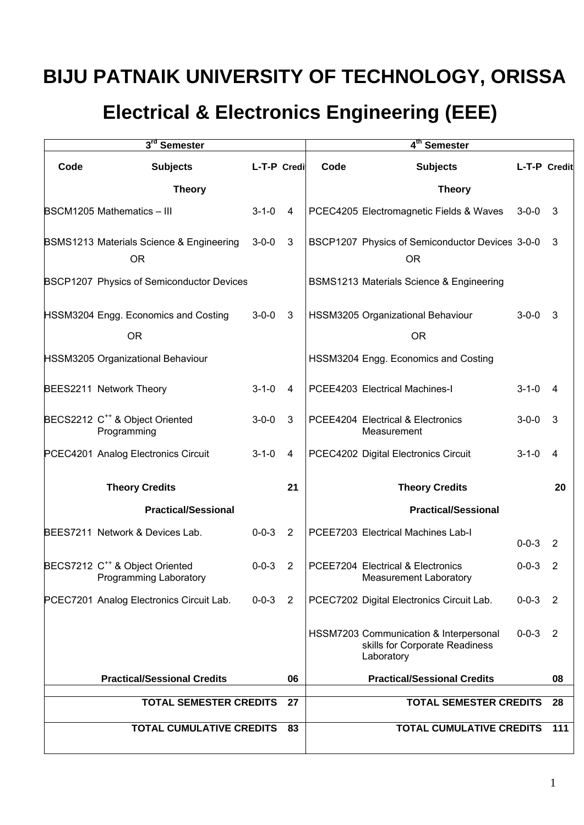# **BIJU PATNAIK UNIVERSITY OF TECHNOLOGY, ORISSA**

# **Electrical & Electronics Engineering (EEE)**

| 3rd Semester                             |                                                                      |               |                | 4 <sup>th</sup> Semester |                                                                                        |             |                |
|------------------------------------------|----------------------------------------------------------------------|---------------|----------------|--------------------------|----------------------------------------------------------------------------------------|-------------|----------------|
| Code                                     | <b>Subjects</b>                                                      | L-T-P Credi   |                | Code                     | <b>Subjects</b>                                                                        |             | L-T-P Credit   |
|                                          | <b>Theory</b>                                                        |               |                |                          | <b>Theory</b>                                                                          |             |                |
|                                          | <b>BSCM1205 Mathematics - III</b>                                    | $3 - 1 - 0$   | 4              |                          | PCEC4205 Electromagnetic Fields & Waves                                                | $3 - 0 - 0$ | 3              |
|                                          | BSMS1213 Materials Science & Engineering<br><b>OR</b>                | $3-0-0$ 3     |                |                          | BSCP1207 Physics of Semiconductor Devices 3-0-0<br><b>OR</b>                           |             | $\mathbf{3}$   |
|                                          | BSCP1207 Physics of Semiconductor Devices                            |               |                |                          | <b>BSMS1213 Materials Science &amp; Engineering</b>                                    |             |                |
|                                          | HSSM3204 Engg. Economics and Costing                                 | $3 - 0 - 0$   | -3             |                          | HSSM3205 Organizational Behaviour                                                      | $3 - 0 - 0$ | 3              |
|                                          | <b>OR</b>                                                            |               |                |                          | <b>OR</b>                                                                              |             |                |
|                                          | HSSM3205 Organizational Behaviour                                    |               |                |                          | HSSM3204 Engg. Economics and Costing                                                   |             |                |
|                                          | BEES2211 Network Theory                                              | $3 - 1 - 0$   | 4              |                          | PCEE4203 Electrical Machines-I                                                         | $3 - 1 - 0$ | 4              |
|                                          | BECS2212 C <sup>++</sup> & Object Oriented<br>Programming            | $3 - 0 - 0$   | 3              |                          | PCEE4204 Electrical & Electronics<br>Measurement                                       | $3 - 0 - 0$ | 3              |
|                                          | PCEC4201 Analog Electronics Circuit                                  | $3 - 1 - 0$   | 4              |                          | PCEC4202 Digital Electronics Circuit                                                   | $3 - 1 - 0$ | $\overline{4}$ |
|                                          | <b>Theory Credits</b>                                                |               | 21             |                          | <b>Theory Credits</b>                                                                  |             | 20             |
|                                          | <b>Practical/Sessional</b>                                           |               |                |                          | <b>Practical/Sessional</b>                                                             |             |                |
|                                          | BEES7211 Network & Devices Lab.                                      | $0 - 0 - 3$ 2 |                |                          | PCEE7203 Electrical Machines Lab-I                                                     | $0 - 0 - 3$ | 2              |
|                                          | BECS7212 C <sup>++</sup> & Object Oriented<br>Programming Laboratory | $0 - 0 - 3$   | $\overline{2}$ |                          | PCEE7204 Electrical & Electronics<br>Measurement Laboratory                            | $0 - 0 - 3$ | $\overline{2}$ |
|                                          | PCEC7201 Analog Electronics Circuit Lab.                             | $0 - 0 - 3$ 2 |                |                          | PCEC7202 Digital Electronics Circuit Lab.                                              | $0 - 0 - 3$ | $\overline{2}$ |
|                                          |                                                                      |               |                |                          | HSSM7203 Communication & Interpersonal<br>skills for Corporate Readiness<br>Laboratory | $0 - 0 - 3$ | $\overline{2}$ |
| <b>Practical/Sessional Credits</b><br>06 |                                                                      |               |                |                          | <b>Practical/Sessional Credits</b>                                                     |             | 08             |
| <b>TOTAL SEMESTER CREDITS</b>            |                                                                      |               | 27             |                          | <b>TOTAL SEMESTER CREDITS</b>                                                          |             | 28             |
| <b>TOTAL CUMULATIVE CREDITS</b>          |                                                                      |               | 83             |                          | <b>TOTAL CUMULATIVE CREDITS</b>                                                        |             | 111            |
|                                          |                                                                      |               |                |                          |                                                                                        |             |                |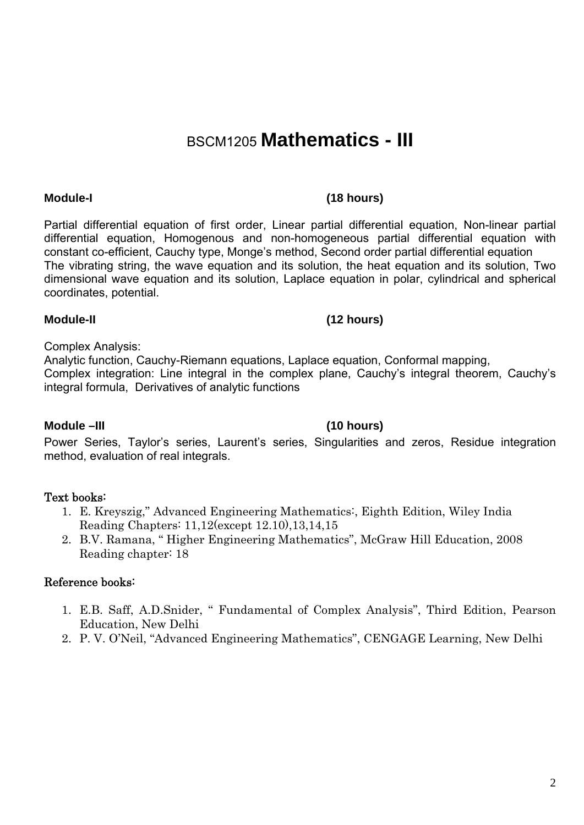# BSCM1205 **Mathematics - III**

Partial differential equation of first order, Linear partial differential equation, Non-linear partial differential equation, Homogenous and non-homogeneous partial differential equation with constant co-efficient, Cauchy type, Monge's method, Second order partial differential equation The vibrating string, the wave equation and its solution, the heat equation and its solution, Two dimensional wave equation and its solution, Laplace equation in polar, cylindrical and spherical coordinates, potential.

## **Module-II (12 hours)**

## Complex Analysis:

Analytic function, Cauchy-Riemann equations, Laplace equation, Conformal mapping, Complex integration: Line integral in the complex plane, Cauchy's integral theorem, Cauchy's integral formula, Derivatives of analytic functions

Power Series, Taylor's series, Laurent's series, Singularities and zeros, Residue integration

## **Module –III (10 hours)**

method, evaluation of real integrals.

- Text books: 1. E. Kreyszig," Advanced Engineering Mathematics:, Eighth Edition, Wiley India Reading Chapters: 11,12(except 12.10),13,14,15
	- 2. B.V. Ramana, " Higher Engineering Mathematics", McGraw Hill Education, 2008 Reading chapter: 18

## Reference books:

- 1. E.B. Saff, A.D.Snider, " Fundamental of Complex Analysis", Third Edition, Pearson Education, New Delhi
- 2. P. V. O'Neil, "Advanced Engineering Mathematics", CENGAGE Learning, New Delhi

## **Module-I (18 hours)**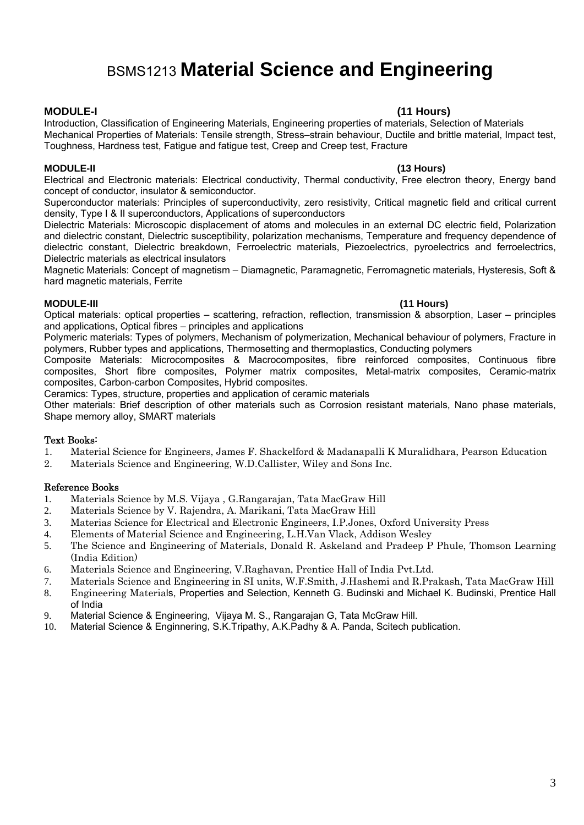## BSMS1213 **Material Science and Engineering**

#### **MODULE-I (11 Hours)**

Introduction, Classification of Engineering Materials, Engineering properties of materials, Selection of Materials Mechanical Properties of Materials: Tensile strength, Stress–strain behaviour, Ductile and brittle material, Impact test, Toughness, Hardness test, Fatigue and fatigue test, Creep and Creep test, Fracture

#### **MODULE-II (13 Hours)**

Electrical and Electronic materials: Electrical conductivity, Thermal conductivity, Free electron theory, Energy band concept of conductor, insulator & semiconductor.

Superconductor materials: Principles of superconductivity, zero resistivity, Critical magnetic field and critical current density, Type I & II superconductors, Applications of superconductors

Dielectric Materials: Microscopic displacement of atoms and molecules in an external DC electric field, Polarization and dielectric constant, Dielectric susceptibility, polarization mechanisms, Temperature and frequency dependence of dielectric constant, Dielectric breakdown, Ferroelectric materials, Piezoelectrics, pyroelectrics and ferroelectrics, Dielectric materials as electrical insulators

Magnetic Materials: Concept of magnetism – Diamagnetic, Paramagnetic, Ferromagnetic materials, Hysteresis, Soft & hard magnetic materials, Ferrite

#### **MODULE-III (11 Hours)**

Optical materials: optical properties – scattering, refraction, reflection, transmission & absorption, Laser – principles and applications, Optical fibres – principles and applications

Polymeric materials: Types of polymers, Mechanism of polymerization, Mechanical behaviour of polymers, Fracture in polymers, Rubber types and applications, Thermosetting and thermoplastics, Conducting polymers

Composite Materials: Microcomposites & Macrocomposites, fibre reinforced composites, Continuous fibre composites, Short fibre composites, Polymer matrix composites, Metal-matrix composites, Ceramic-matrix composites, Carbon-carbon Composites, Hybrid composites.

Ceramics: Types, structure, properties and application of ceramic materials

Other materials: Brief description of other materials such as Corrosion resistant materials, Nano phase materials, Shape memory alloy, SMART materials

#### Text Books:

- 1. Material Science for Engineers, James F. Shackelford & Madanapalli K Muralidhara, Pearson Education
- 2. Materials Science and Engineering, W.D.Callister, Wiley and Sons Inc.

- 1. Materials Science by M.S. Vijaya , G.Rangarajan, Tata MacGraw Hill
- 2. Materials Science by V. Rajendra, A. Marikani, Tata MacGraw Hill
- 3. Materias Science for Electrical and Electronic Engineers, I.P.Jones, Oxford University Press
- 4. Elements of Material Science and Engineering, L.H.Van Vlack, Addison Wesley
- 5. The Science and Engineering of Materials, Donald R. Askeland and Pradeep P Phule, Thomson Learning (India Edition)
- 6. Materials Science and Engineering, V.Raghavan, Prentice Hall of India Pvt.Ltd.
- 7. Materials Science and Engineering in SI units, W.F.Smith, J.Hashemi and R.Prakash, Tata MacGraw Hill
- 8. Engineering Materials, Properties and Selection, Kenneth G. Budinski and Michael K. Budinski, Prentice Hall of India
- 9. Material Science & Engineering, Vijaya M. S., Rangarajan G, Tata McGraw Hill.
- 10. Material Science & Enginnering, S.K.Tripathy, A.K.Padhy & A. Panda, Scitech publication.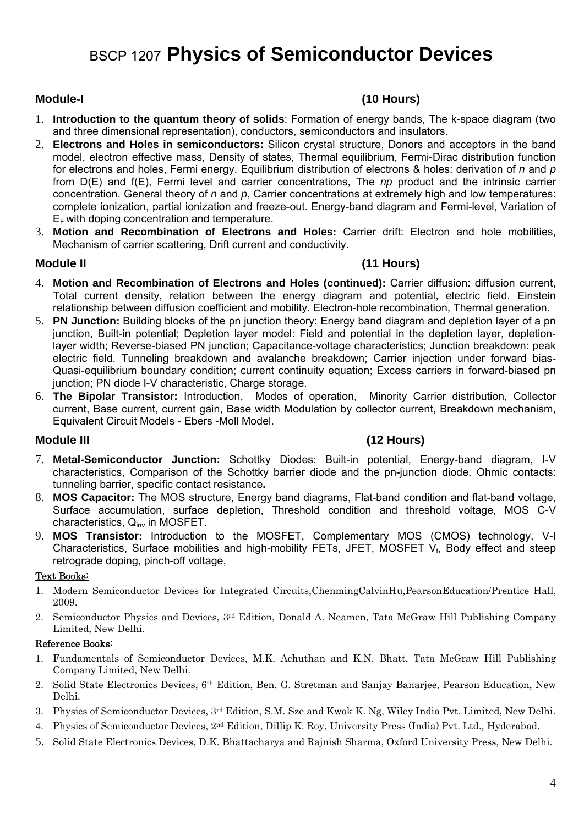## BSCP 1207 **Physics of Semiconductor Devices**

### **Module-I (10 Hours)**

- 1. **Introduction to the quantum theory of solids**: Formation of energy bands, The k-space diagram (two and three dimensional representation), conductors, semiconductors and insulators.
- 2. **Electrons and Holes in semiconductors:** Silicon crystal structure, Donors and acceptors in the band model, electron effective mass, Density of states, Thermal equilibrium, Fermi-Dirac distribution function for electrons and holes, Fermi energy. Equilibrium distribution of electrons & holes: derivation of *n* and *p* from D(E) and f(E), Fermi level and carrier concentrations, The *np* product and the intrinsic carrier concentration. General theory of *n* and *p*, Carrier concentrations at extremely high and low temperatures: complete ionization, partial ionization and freeze-out. Energy-band diagram and Fermi-level, Variation of  $E_F$  with doping concentration and temperature.
- 3. **Motion and Recombination of Electrons and Holes:** Carrier drift: Electron and hole mobilities, Mechanism of carrier scattering, Drift current and conductivity.

### **Module II (11 Hours)**

- 4. **Motion and Recombination of Electrons and Holes (continued):** Carrier diffusion: diffusion current, Total current density, relation between the energy diagram and potential, electric field. Einstein relationship between diffusion coefficient and mobility. Electron-hole recombination, Thermal generation.
- 5. **PN Junction:** Building blocks of the pn junction theory: Energy band diagram and depletion layer of a pn junction, Built-in potential; Depletion layer model: Field and potential in the depletion layer, depletionlayer width; Reverse-biased PN junction; Capacitance-voltage characteristics; Junction breakdown: peak electric field. Tunneling breakdown and avalanche breakdown; Carrier injection under forward bias-Quasi-equilibrium boundary condition; current continuity equation; Excess carriers in forward-biased pn junction; PN diode I-V characteristic, Charge storage.
- 6. **The Bipolar Transistor:** Introduction, Modes of operation, Minority Carrier distribution, Collector current, Base current, current gain, Base width Modulation by collector current, Breakdown mechanism, Equivalent Circuit Models - Ebers -Moll Model.

### **Module III (12 Hours)**

- 7. **Metal-Semiconductor Junction:** Schottky Diodes: Built-in potential, Energy-band diagram, I-V characteristics, Comparison of the Schottky barrier diode and the pn-junction diode. Ohmic contacts: tunneling barrier, specific contact resistance**.**
- 8. **MOS Capacitor:** The MOS structure, Energy band diagrams, Flat-band condition and flat-band voltage, Surface accumulation, surface depletion, Threshold condition and threshold voltage, MOS C-V characteristics, Qinv in MOSFET.
- 9. **MOS Transistor:** Introduction to the MOSFET, Complementary MOS (CMOS) technology, V-I Characteristics, Surface mobilities and high-mobility FETs, JFET, MOSFET  $V_t$ , Body effect and steep retrograde doping, pinch-off voltage,

### Text Books:

- 1. Modern Semiconductor Devices for Integrated Circuits,ChenmingCalvinHu,PearsonEducation/Prentice Hall, 2009.
- 2. Semiconductor Physics and Devices, 3rd Edition, Donald A. Neamen, Tata McGraw Hill Publishing Company Limited, New Delhi.

- 1. Fundamentals of Semiconductor Devices, M.K. Achuthan and K.N. Bhatt, Tata McGraw Hill Publishing Company Limited, New Delhi.
- 2. Solid State Electronics Devices, 6th Edition, Ben. G. Stretman and Sanjay Banarjee, Pearson Education, New Delhi.
- 3. Physics of Semiconductor Devices, 3rd Edition, S.M. Sze and Kwok K. Ng, Wiley India Pvt. Limited, New Delhi.
- 4. Physics of Semiconductor Devices, 2nd Edition, Dillip K. Roy, University Press (India) Pvt. Ltd., Hyderabad.
- 5. Solid State Electronics Devices, D.K. Bhattacharya and Rajnish Sharma, Oxford University Press, New Delhi.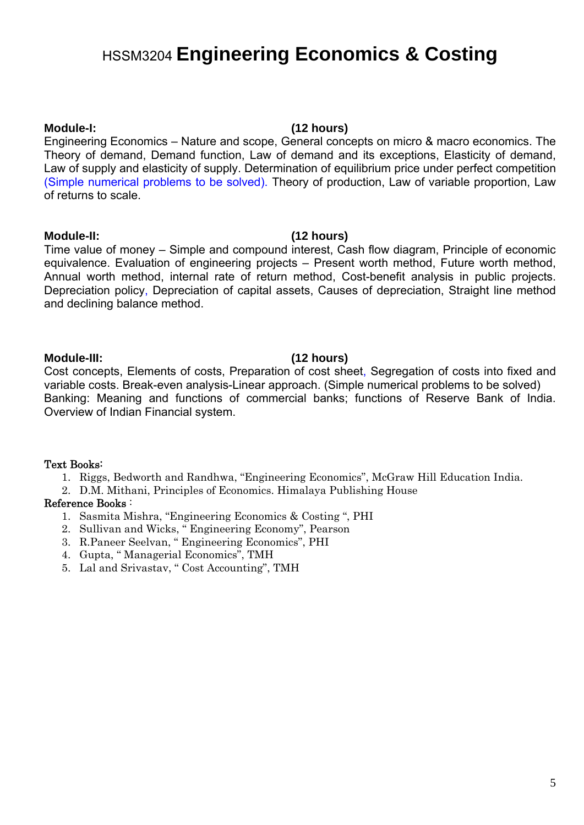# HSSM3204 **Engineering Economics & Costing**

### **Module-I: (12 hours)**

Engineering Economics – Nature and scope, General concepts on micro & macro economics. The Theory of demand, Demand function, Law of demand and its exceptions, Elasticity of demand, Law of supply and elasticity of supply. Determination of equilibrium price under perfect competition (Simple numerical problems to be solved). Theory of production, Law of variable proportion, Law of returns to scale.

### **Module-II: (12 hours)**

Time value of money – Simple and compound interest, Cash flow diagram, Principle of economic equivalence. Evaluation of engineering projects – Present worth method, Future worth method, Annual worth method, internal rate of return method, Cost-benefit analysis in public projects. Depreciation policy, Depreciation of capital assets, Causes of depreciation, Straight line method and declining balance method.

### **Module-III: (12 hours)**

Cost concepts, Elements of costs, Preparation of cost sheet, Segregation of costs into fixed and variable costs. Break-even analysis-Linear approach. (Simple numerical problems to be solved) Banking: Meaning and functions of commercial banks; functions of Reserve Bank of India. Overview of Indian Financial system.

### Text Books:

- 1. Riggs, Bedworth and Randhwa, "Engineering Economics", McGraw Hill Education India.
- 2. D.M. Mithani, Principles of Economics. Himalaya Publishing House

- 1. Sasmita Mishra, "Engineering Economics & Costing ", PHI
- 2. Sullivan and Wicks, " Engineering Economy", Pearson
- 3. R.Paneer Seelvan, " Engineering Economics", PHI
- 4. Gupta, " Managerial Economics", TMH
- 5. Lal and Srivastav, " Cost Accounting", TMH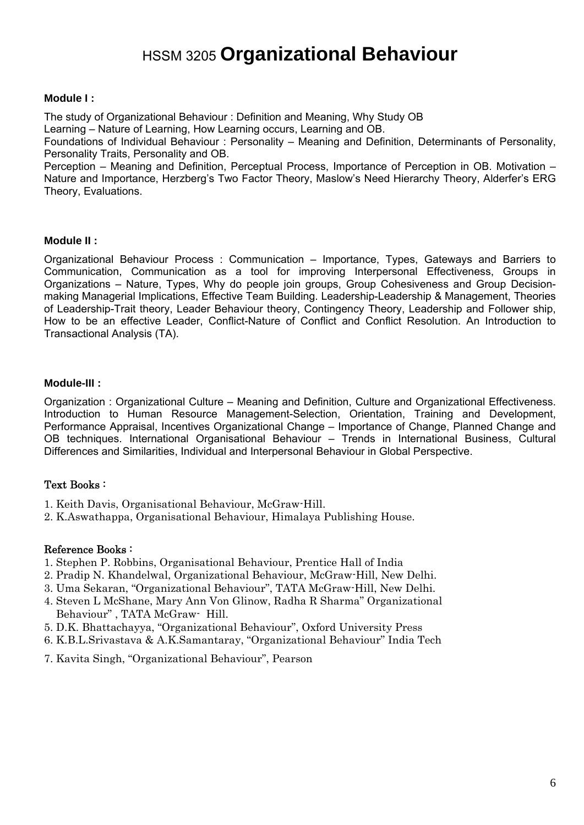# HSSM 3205 **Organizational Behaviour**

#### **Module I :**

The study of Organizational Behaviour : Definition and Meaning, Why Study OB

Learning – Nature of Learning, How Learning occurs, Learning and OB.

Foundations of Individual Behaviour : Personality – Meaning and Definition, Determinants of Personality, Personality Traits, Personality and OB.

Perception – Meaning and Definition, Perceptual Process, Importance of Perception in OB. Motivation – Nature and Importance, Herzberg's Two Factor Theory, Maslow's Need Hierarchy Theory, Alderfer's ERG Theory, Evaluations.

### **Module II :**

Organizational Behaviour Process : Communication – Importance, Types, Gateways and Barriers to Communication, Communication as a tool for improving Interpersonal Effectiveness, Groups in Organizations – Nature, Types, Why do people join groups, Group Cohesiveness and Group Decisionmaking Managerial Implications, Effective Team Building. Leadership-Leadership & Management, Theories of Leadership-Trait theory, Leader Behaviour theory, Contingency Theory, Leadership and Follower ship, How to be an effective Leader, Conflict-Nature of Conflict and Conflict Resolution. An Introduction to Transactional Analysis (TA).

### **Module-III :**

Organization : Organizational Culture – Meaning and Definition, Culture and Organizational Effectiveness. Introduction to Human Resource Management-Selection, Orientation, Training and Development, Performance Appraisal, Incentives Organizational Change – Importance of Change, Planned Change and OB techniques. International Organisational Behaviour – Trends in International Business, Cultural Differences and Similarities, Individual and Interpersonal Behaviour in Global Perspective.

### Text Books :

- 1. Keith Davis, Organisational Behaviour, McGraw-Hill.
- 2. K.Aswathappa, Organisational Behaviour, Himalaya Publishing House.

- 1. Stephen P. Robbins, Organisational Behaviour, Prentice Hall of India
- 2. Pradip N. Khandelwal, Organizational Behaviour, McGraw-Hill, New Delhi.
- 3. Uma Sekaran, "Organizational Behaviour", TATA McGraw-Hill, New Delhi.
- 4. Steven L McShane, Mary Ann Von Glinow, Radha R Sharma" Organizational Behaviour" , TATA McGraw- Hill.
- 5. D.K. Bhattachayya, "Organizational Behaviour", Oxford University Press
- 6. K.B.L.Srivastava & A.K.Samantaray, "Organizational Behaviour" India Tech
- 7. Kavita Singh, "Organizational Behaviour", Pearson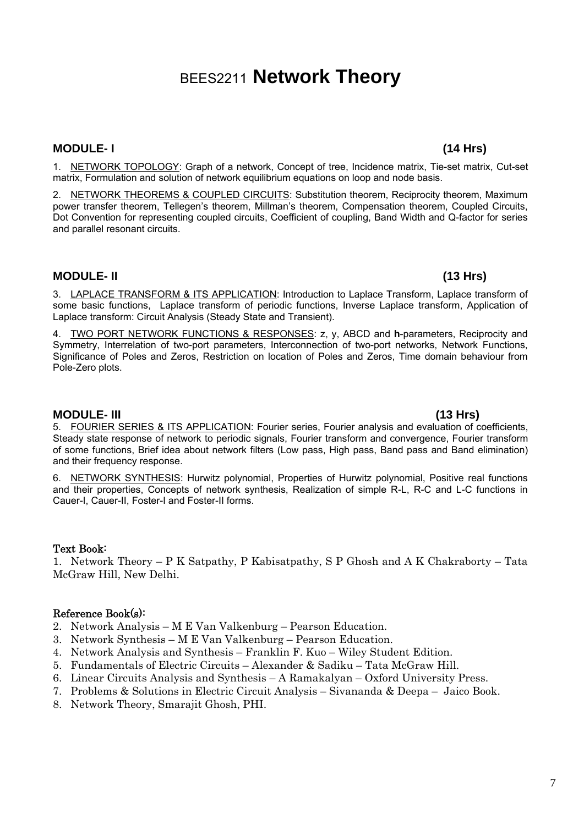## BEES2211 **Network Theory**

### **MODULE- I (14 Hrs)**

1. NETWORK TOPOLOGY: Graph of a network, Concept of tree, Incidence matrix, Tie-set matrix, Cut-set matrix, Formulation and solution of network equilibrium equations on loop and node basis.

2. NETWORK THEOREMS & COUPLED CIRCUITS: Substitution theorem, Reciprocity theorem, Maximum power transfer theorem, Tellegen's theorem, Millman's theorem, Compensation theorem, Coupled Circuits, Dot Convention for representing coupled circuits, Coefficient of coupling, Band Width and Q-factor for series and parallel resonant circuits.

### **MODULE- II (13 Hrs)**

3. LAPLACE TRANSFORM & ITS APPLICATION: Introduction to Laplace Transform, Laplace transform of some basic functions, Laplace transform of periodic functions, Inverse Laplace transform, Application of Laplace transform: Circuit Analysis (Steady State and Transient).

4. TWO PORT NETWORK FUNCTIONS & RESPONSES: z, y, ABCD and **h**-parameters, Reciprocity and Symmetry, Interrelation of two-port parameters, Interconnection of two-port networks, Network Functions, Significance of Poles and Zeros, Restriction on location of Poles and Zeros, Time domain behaviour from Pole-Zero plots.

#### **MODULE- III (13 Hrs)**

5. FOURIER SERIES & ITS APPLICATION: Fourier series, Fourier analysis and evaluation of coefficients, Steady state response of network to periodic signals, Fourier transform and convergence, Fourier transform of some functions, Brief idea about network filters (Low pass, High pass, Band pass and Band elimination) and their frequency response.

6. NETWORK SYNTHESIS: Hurwitz polynomial, Properties of Hurwitz polynomial, Positive real functions and their properties, Concepts of network synthesis, Realization of simple R-L, R-C and L-C functions in Cauer-I, Cauer-II, Foster-I and Foster-II forms.

### Text Book:

1. Network Theory – P K Satpathy, P Kabisatpathy, S P Ghosh and A K Chakraborty – Tata McGraw Hill, New Delhi.

- 2. Network Analysis M E Van Valkenburg Pearson Education.
- 3. Network Synthesis M E Van Valkenburg Pearson Education.
- 4. Network Analysis and Synthesis Franklin F. Kuo Wiley Student Edition.
- 5. Fundamentals of Electric Circuits Alexander & Sadiku Tata McGraw Hill.
- 6. Linear Circuits Analysis and Synthesis A Ramakalyan Oxford University Press.
- 7. Problems & Solutions in Electric Circuit Analysis Sivananda & Deepa Jaico Book.
- 8. Network Theory, Smarajit Ghosh, PHI.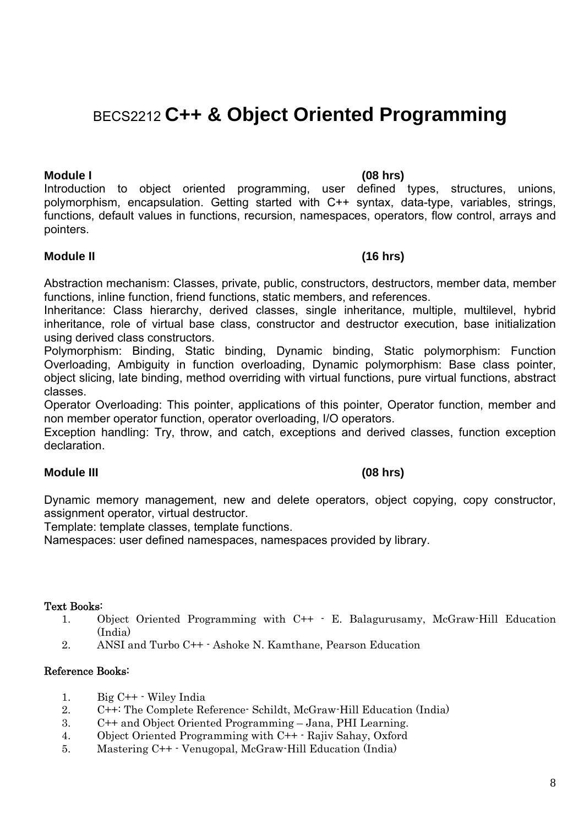## BECS2212 **C++ & Object Oriented Programming**

**Module I (08 hrs)**  Introduction to object oriented programming, user defined types, structures, unions, polymorphism, encapsulation. Getting started with C++ syntax, data-type, variables, strings, functions, default values in functions, recursion, namespaces, operators, flow control, arrays and pointers.

### **Module II (16 hrs)**

Abstraction mechanism: Classes, private, public, constructors, destructors, member data, member functions, inline function, friend functions, static members, and references.

Inheritance: Class hierarchy, derived classes, single inheritance, multiple, multilevel, hybrid inheritance, role of virtual base class, constructor and destructor execution, base initialization using derived class constructors.

Polymorphism: Binding, Static binding, Dynamic binding, Static polymorphism: Function Overloading, Ambiguity in function overloading, Dynamic polymorphism: Base class pointer, object slicing, late binding, method overriding with virtual functions, pure virtual functions, abstract classes.

Operator Overloading: This pointer, applications of this pointer, Operator function, member and non member operator function, operator overloading, I/O operators.

Exception handling: Try, throw, and catch, exceptions and derived classes, function exception declaration.

### **Module III (08 hrs)**

Dynamic memory management, new and delete operators, object copying, copy constructor, assignment operator, virtual destructor.

Template: template classes, template functions.

Namespaces: user defined namespaces, namespaces provided by library.

### Text Books:

- 1. Object Oriented Programming with C++ E. Balagurusamy, McGraw-Hill Education (India)
- 2. ANSI and Turbo C++ Ashoke N. Kamthane, Pearson Education

- 1. Big C++ Wiley India
- 2. C++: The Complete Reference- Schildt, McGraw-Hill Education (India)
- 3. C++ and Object Oriented Programming Jana, PHI Learning.
- 4. Object Oriented Programming with C++ Rajiv Sahay, Oxford
- 5. Mastering C++ Venugopal, McGraw-Hill Education (India)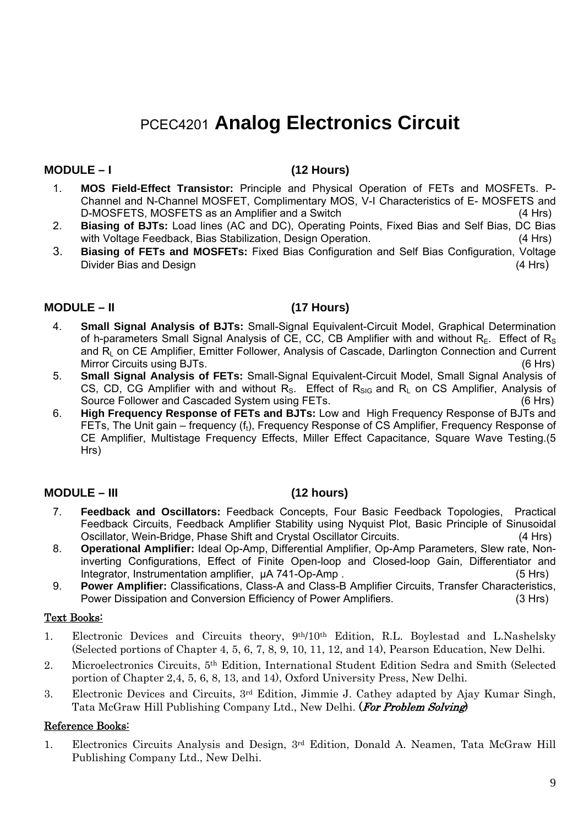## PCEC4201 **Analog Electronics Circuit**

### **MODULE – I (12 Hours)**

- 1. **MOS Field-Effect Transistor:** Principle and Physical Operation of FETs and MOSFETs. P-Channel and N-Channel MOSFET, Complimentary MOS, V-I Characteristics of E- MOSFETS and D-MOSFETS, MOSFETS as an Amplifier and a Switch (4 Hrs)
- 2. **Biasing of BJTs:** Load lines (AC and DC), Operating Points, Fixed Bias and Self Bias, DC Bias with Voltage Feedback, Bias Stabilization, Design Operation. (4 Hrs)
- 3. **Biasing of FETs and MOSFETs:** Fixed Bias Configuration and Self Bias Configuration, Voltage Divider Bias and Design (4 Hrs) (4 Hrs)

### **MODULE – II (17 Hours)**

- 4. **Small Signal Analysis of BJTs:** Small-Signal Equivalent-Circuit Model, Graphical Determination of h-parameters Small Signal Analysis of CE, CC, CB Amplifier with and without  $R_F$ . Effect of  $R_S$ and R<sub>L</sub> on CE Amplifier, Emitter Follower, Analysis of Cascade, Darlington Connection and Current Mirror Circuits using BJTs. (6 Hrs)
- 5. **Small Signal Analysis of FETs:** Small-Signal Equivalent-Circuit Model, Small Signal Analysis of CS, CD, CG Amplifier with and without  $R_s$ . Effect of  $R_{SIG}$  and  $R_L$  on CS Amplifier, Analysis of Source Follower and Cascaded System using FETs. Source Follower and Cascaded System using FETs.
- 6. **High Frequency Response of FETs and BJTs:** Low and High Frequency Response of BJTs and FETs, The Unit gain – frequency (ft), Frequency Response of CS Amplifier, Frequency Response of CE Amplifier, Multistage Frequency Effects, Miller Effect Capacitance, Square Wave Testing.(5 Hrs)

### **MODULE – III (12 hours)**

- 7. **Feedback and Oscillators:** Feedback Concepts, Four Basic Feedback Topologies, Practical Feedback Circuits, Feedback Amplifier Stability using Nyquist Plot, Basic Principle of Sinusoidal Oscillator, Wein-Bridge, Phase Shift and Crystal Oscillator Circuits. (4 Hrs)
- 8. **Operational Amplifier:** Ideal Op-Amp, Differential Amplifier, Op-Amp Parameters, Slew rate, Noninverting Configurations, Effect of Finite Open-loop and Closed-loop Gain, Differentiator and Integrator, Instrumentation amplifier,  $\mu$ A 741-Op-Amp . (5 Hrs)
- 9. **Power Amplifier:** Classifications, Class-A and Class-B Amplifier Circuits, Transfer Characteristics, Power Dissipation and Conversion Efficiency of Power Amplifiers. (3 Hrs)

### Text Books:

- 1. Electronic Devices and Circuits theory, 9th/10th Edition, R.L. Boylestad and L.Nashelsky (Selected portions of Chapter 4, 5, 6, 7, 8, 9, 10, 11, 12, and 14), Pearson Education, New Delhi.
- 2. Microelectronics Circuits, 5th Edition, International Student Edition Sedra and Smith (Selected portion of Chapter 2,4, 5, 6, 8, 13, and 14), Oxford University Press, New Delhi.
- 3. Electronic Devices and Circuits, 3rd Edition, Jimmie J. Cathey adapted by Ajay Kumar Singh, Tata McGraw Hill Publishing Company Ltd., New Delhi. (For Problem Solving)

### Reference Books:

1. Electronics Circuits Analysis and Design, 3rd Edition, Donald A. Neamen, Tata McGraw Hill Publishing Company Ltd., New Delhi.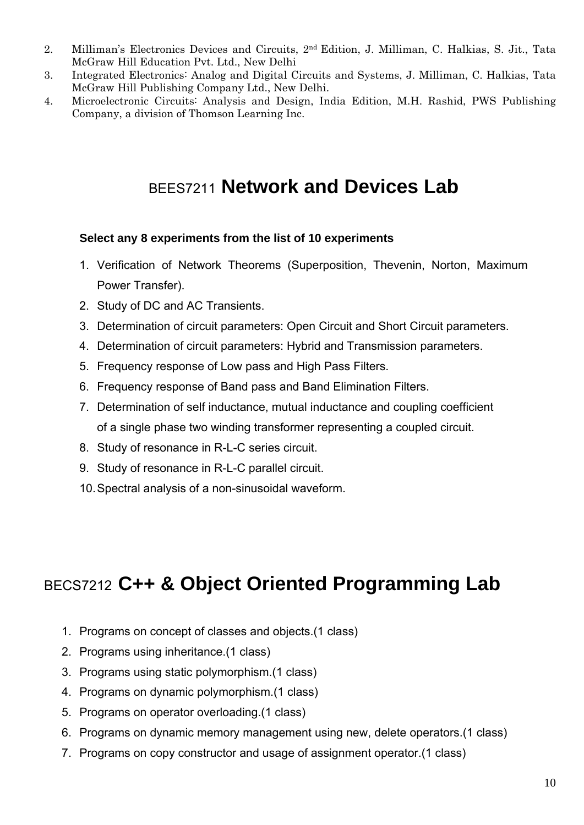- 2. Milliman's Electronics Devices and Circuits, 2nd Edition, J. Milliman, C. Halkias, S. Jit., Tata McGraw Hill Education Pvt. Ltd., New Delhi
- 3. Integrated Electronics: Analog and Digital Circuits and Systems, J. Milliman, C. Halkias, Tata McGraw Hill Publishing Company Ltd., New Delhi.
- 4. Microelectronic Circuits: Analysis and Design, India Edition, M.H. Rashid, PWS Publishing Company, a division of Thomson Learning Inc.

## BEES7211 **Network and Devices Lab**

## **Select any 8 experiments from the list of 10 experiments**

- 1. Verification of Network Theorems (Superposition, Thevenin, Norton, Maximum Power Transfer).
- 2. Study of DC and AC Transients.
- 3. Determination of circuit parameters: Open Circuit and Short Circuit parameters.
- 4. Determination of circuit parameters: Hybrid and Transmission parameters.
- 5. Frequency response of Low pass and High Pass Filters.
- 6. Frequency response of Band pass and Band Elimination Filters.
- 7. Determination of self inductance, mutual inductance and coupling coefficient of a single phase two winding transformer representing a coupled circuit.
- 8. Study of resonance in R-L-C series circuit.
- 9. Study of resonance in R-L-C parallel circuit.
- 10. Spectral analysis of a non-sinusoidal waveform.

# BECS7212 **C++ & Object Oriented Programming Lab**

- 1. Programs on concept of classes and objects.(1 class)
- 2. Programs using inheritance.(1 class)
- 3. Programs using static polymorphism.(1 class)
- 4. Programs on dynamic polymorphism.(1 class)
- 5. Programs on operator overloading.(1 class)
- 6. Programs on dynamic memory management using new, delete operators.(1 class)
- 7. Programs on copy constructor and usage of assignment operator.(1 class)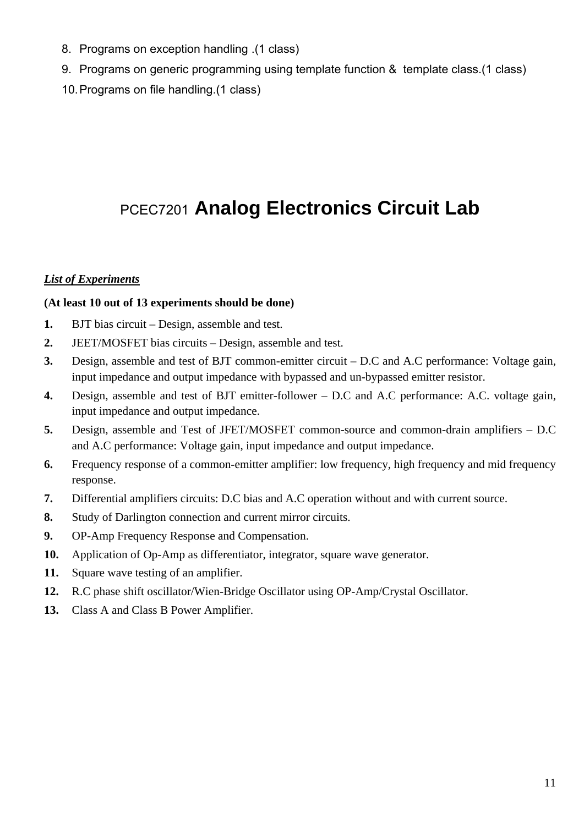- 8. Programs on exception handling .(1 class)
- 9. Programs on generic programming using template function & template class.(1 class)
- 10. Programs on file handling.(1 class)

# PCEC7201 **Analog Electronics Circuit Lab**

### *List of Experiments*

### **(At least 10 out of 13 experiments should be done)**

- **1.** BJT bias circuit Design, assemble and test.
- **2.** JEET/MOSFET bias circuits Design, assemble and test.
- **3.** Design, assemble and test of BJT common-emitter circuit D.C and A.C performance: Voltage gain, input impedance and output impedance with bypassed and un-bypassed emitter resistor.
- **4.** Design, assemble and test of BJT emitter-follower D.C and A.C performance: A.C. voltage gain, input impedance and output impedance.
- **5.** Design, assemble and Test of JFET/MOSFET common-source and common-drain amplifiers D.C and A.C performance: Voltage gain, input impedance and output impedance.
- **6.** Frequency response of a common-emitter amplifier: low frequency, high frequency and mid frequency response.
- **7.** Differential amplifiers circuits: D.C bias and A.C operation without and with current source.
- **8.** Study of Darlington connection and current mirror circuits.
- **9.** OP-Amp Frequency Response and Compensation.
- **10.** Application of Op-Amp as differentiator, integrator, square wave generator.
- **11.** Square wave testing of an amplifier.
- **12.** R.C phase shift oscillator/Wien-Bridge Oscillator using OP-Amp/Crystal Oscillator.
- **13.** Class A and Class B Power Amplifier.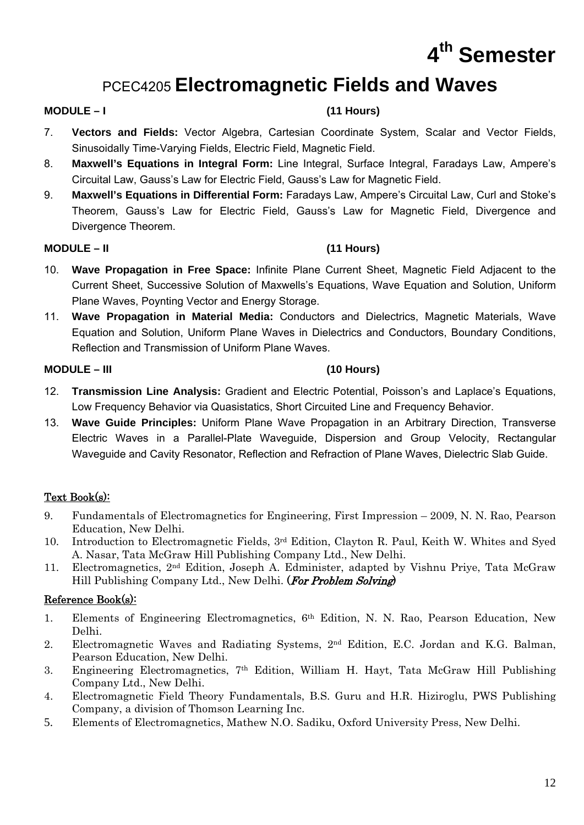# **4th Semester**

# PCEC4205 **Electromagnetic Fields and Waves**

## **MODULE – I (11 Hours)**

- 7. **Vectors and Fields:** Vector Algebra, Cartesian Coordinate System, Scalar and Vector Fields, Sinusoidally Time-Varying Fields, Electric Field, Magnetic Field.
- 8. **Maxwell's Equations in Integral Form:** Line Integral, Surface Integral, Faradays Law, Ampere's Circuital Law, Gauss's Law for Electric Field, Gauss's Law for Magnetic Field.
- 9. **Maxwell's Equations in Differential Form:** Faradays Law, Ampere's Circuital Law, Curl and Stoke's Theorem, Gauss's Law for Electric Field, Gauss's Law for Magnetic Field, Divergence and Divergence Theorem.

## **MODULE – II (11 Hours)**

- 10. **Wave Propagation in Free Space:** Infinite Plane Current Sheet, Magnetic Field Adjacent to the Current Sheet, Successive Solution of Maxwells's Equations, Wave Equation and Solution, Uniform Plane Waves, Poynting Vector and Energy Storage.
- 11. **Wave Propagation in Material Media:** Conductors and Dielectrics, Magnetic Materials, Wave Equation and Solution, Uniform Plane Waves in Dielectrics and Conductors, Boundary Conditions, Reflection and Transmission of Uniform Plane Waves.

## **MODULE – III (10 Hours)**

- 12. **Transmission Line Analysis:** Gradient and Electric Potential, Poisson's and Laplace's Equations, Low Frequency Behavior via Quasistatics, Short Circuited Line and Frequency Behavior.
- 13. **Wave Guide Principles:** Uniform Plane Wave Propagation in an Arbitrary Direction, Transverse Electric Waves in a Parallel-Plate Waveguide, Dispersion and Group Velocity, Rectangular Waveguide and Cavity Resonator, Reflection and Refraction of Plane Waves, Dielectric Slab Guide.

## Text Book(s):

- 9. Fundamentals of Electromagnetics for Engineering, First Impression 2009, N. N. Rao, Pearson Education, New Delhi.
- 10. Introduction to Electromagnetic Fields, 3rd Edition, Clayton R. Paul, Keith W. Whites and Syed A. Nasar, Tata McGraw Hill Publishing Company Ltd., New Delhi.
- 11. Electromagnetics, 2nd Edition, Joseph A. Edminister, adapted by Vishnu Priye, Tata McGraw Hill Publishing Company Ltd., New Delhi. (For Problem Solving)

- 1. Elements of Engineering Electromagnetics, 6th Edition, N. N. Rao, Pearson Education, New Delhi.
- 2. Electromagnetic Waves and Radiating Systems, 2nd Edition, E.C. Jordan and K.G. Balman, Pearson Education, New Delhi.
- 3. Engineering Electromagnetics, 7th Edition, William H. Hayt, Tata McGraw Hill Publishing Company Ltd., New Delhi.
- 4. Electromagnetic Field Theory Fundamentals, B.S. Guru and H.R. Hiziroglu, PWS Publishing Company, a division of Thomson Learning Inc.
- 5. Elements of Electromagnetics, Mathew N.O. Sadiku, Oxford University Press, New Delhi.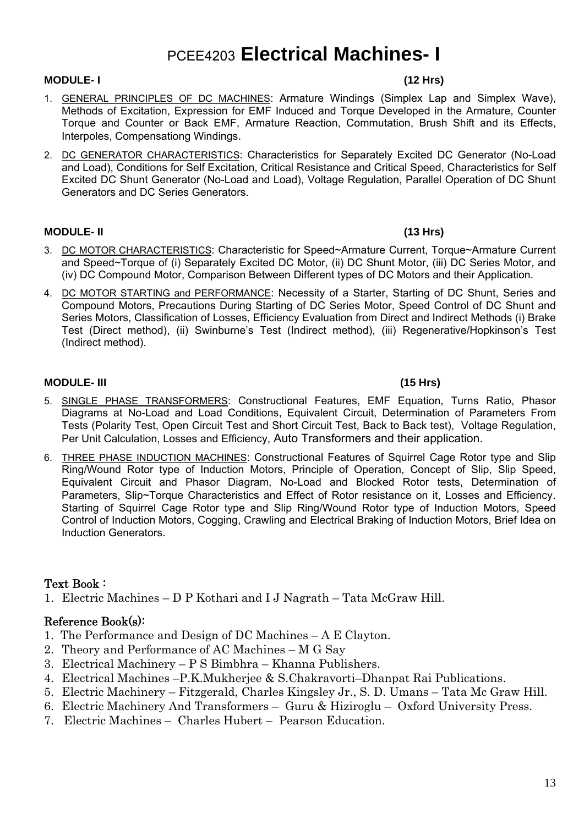# PCEE4203 **Electrical Machines- I**

### **MODULE- I (12 Hrs)**

- 1. GENERAL PRINCIPLES OF DC MACHINES: Armature Windings (Simplex Lap and Simplex Wave), Methods of Excitation, Expression for EMF Induced and Torque Developed in the Armature, Counter Torque and Counter or Back EMF, Armature Reaction, Commutation, Brush Shift and its Effects, Interpoles, Compensationg Windings.
- 2. DC GENERATOR CHARACTERISTICS: Characteristics for Separately Excited DC Generator (No-Load and Load), Conditions for Self Excitation, Critical Resistance and Critical Speed, Characteristics for Self Excited DC Shunt Generator (No-Load and Load), Voltage Regulation, Parallel Operation of DC Shunt Generators and DC Series Generators.

### **MODULE- II (13 Hrs)**

- 3. DC MOTOR CHARACTERISTICS: Characteristic for Speed~Armature Current, Torque~Armature Current and Speed~Torque of (i) Separately Excited DC Motor, (ii) DC Shunt Motor, (iii) DC Series Motor, and (iv) DC Compound Motor, Comparison Between Different types of DC Motors and their Application.
- 4. DC MOTOR STARTING and PERFORMANCE: Necessity of a Starter, Starting of DC Shunt, Series and Compound Motors, Precautions During Starting of DC Series Motor, Speed Control of DC Shunt and Series Motors, Classification of Losses, Efficiency Evaluation from Direct and Indirect Methods (i) Brake Test (Direct method), (ii) Swinburne's Test (Indirect method), (iii) Regenerative/Hopkinson's Test (Indirect method).

### **MODULE- III (15 Hrs)**

- 5. SINGLE PHASE TRANSFORMERS: Constructional Features, EMF Equation, Turns Ratio, Phasor Diagrams at No-Load and Load Conditions, Equivalent Circuit, Determination of Parameters From Tests (Polarity Test, Open Circuit Test and Short Circuit Test, Back to Back test), Voltage Regulation, Per Unit Calculation, Losses and Efficiency, Auto Transformers and their application.
- 6. THREE PHASE INDUCTION MACHINES: Constructional Features of Squirrel Cage Rotor type and Slip Ring/Wound Rotor type of Induction Motors, Principle of Operation, Concept of Slip, Slip Speed, Equivalent Circuit and Phasor Diagram, No-Load and Blocked Rotor tests, Determination of Parameters, Slip~Torque Characteristics and Effect of Rotor resistance on it, Losses and Efficiency. Starting of Squirrel Cage Rotor type and Slip Ring/Wound Rotor type of Induction Motors, Speed Control of Induction Motors, Cogging, Crawling and Electrical Braking of Induction Motors, Brief Idea on Induction Generators.

### Text Book :

1. Electric Machines – D P Kothari and I J Nagrath – Tata McGraw Hill.

- 1. The Performance and Design of DC Machines A E Clayton.
- 2. Theory and Performance of AC Machines M G Say
- 3. Electrical Machinery P S Bimbhra Khanna Publishers.
- 4. Electrical Machines –P.K.Mukherjee & S.Chakravorti–Dhanpat Rai Publications.
- 5. Electric Machinery Fitzgerald, Charles Kingsley Jr., S. D. Umans Tata Mc Graw Hill.
- 6. Electric Machinery And Transformers Guru & Hiziroglu Oxford University Press.
- 7. Electric Machines Charles Hubert Pearson Education.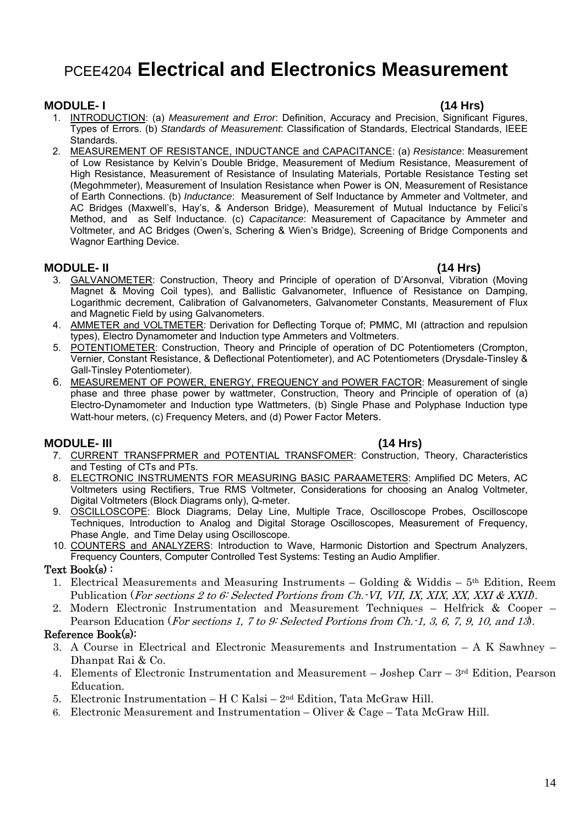## PCEE4204 **Electrical and Electronics Measurement**

### **MODULE- I (14 Hrs)**

- 1. INTRODUCTION: (a) *Measurement and Error*: Definition, Accuracy and Precision, Significant Figures, Types of Errors. (b) *Standards of Measurement*: Classification of Standards, Electrical Standards, IEEE Standards.
- 2. MEASUREMENT OF RESISTANCE, INDUCTANCE and CAPACITANCE: (a) *Resistance*: Measurement of Low Resistance by Kelvin's Double Bridge, Measurement of Medium Resistance, Measurement of High Resistance, Measurement of Resistance of Insulating Materials, Portable Resistance Testing set (Megohmmeter), Measurement of Insulation Resistance when Power is ON, Measurement of Resistance of Earth Connections. (b) *Inductance*: Measurement of Self Inductance by Ammeter and Voltmeter, and AC Bridges (Maxwell's, Hay's, & Anderson Bridge), Measurement of Mutual Inductance by Felici's Method, and as Self Inductance. (c) *Capacitance*: Measurement of Capacitance by Ammeter and Voltmeter, and AC Bridges (Owen's, Schering & Wien's Bridge), Screening of Bridge Components and Wagnor Earthing Device.

### **MODULE- II (14 Hrs)**

- 3. GALVANOMETER: Construction, Theory and Principle of operation of D'Arsonval, Vibration (Moving Magnet & Moving Coil types), and Ballistic Galvanometer, Influence of Resistance on Damping, Logarithmic decrement, Calibration of Galvanometers, Galvanometer Constants, Measurement of Flux and Magnetic Field by using Galvanometers.
- 4. AMMETER and VOLTMETER: Derivation for Deflecting Torque of; PMMC, MI (attraction and repulsion types), Electro Dynamometer and Induction type Ammeters and Voltmeters.
- 5. POTENTIOMETER: Construction, Theory and Principle of operation of DC Potentiometers (Crompton, Vernier, Constant Resistance, & Deflectional Potentiometer), and AC Potentiometers (Drysdale-Tinsley & Gall-Tinsley Potentiometer).
- 6. MEASUREMENT OF POWER, ENERGY, FREQUENCY and POWER FACTOR: Measurement of single phase and three phase power by wattmeter, Construction, Theory and Principle of operation of (a) Electro-Dynamometer and Induction type Wattmeters, (b) Single Phase and Polyphase Induction type Watt-hour meters, (c) Frequency Meters, and (d) Power Factor Meters.

### **MODULE- III (14 Hrs)**

- 7. CURRENT TRANSFPRMER and POTENTIAL TRANSFOMER: Construction, Theory, Characteristics and Testing of CTs and PTs.
- 8. ELECTRONIC INSTRUMENTS FOR MEASURING BASIC PARAAMETERS: Amplified DC Meters, AC Voltmeters using Rectifiers, True RMS Voltmeter, Considerations for choosing an Analog Voltmeter, Digital Voltmeters (Block Diagrams only), Q-meter.
- 9. OSCILLOSCOPE: Block Diagrams, Delay Line, Multiple Trace, Oscilloscope Probes, Oscilloscope Techniques, Introduction to Analog and Digital Storage Oscilloscopes, Measurement of Frequency, Phase Angle, and Time Delay using Oscilloscope.
- 10. COUNTERS and ANALYZERS: Introduction to Wave, Harmonic Distortion and Spectrum Analyzers, Frequency Counters, Computer Controlled Test Systems: Testing an Audio Amplifier.

### Text Book(s) :

- 1. Electrical Measurements and Measuring Instruments Golding & Widdis  $5<sup>th</sup>$  Edition, Reem Publication (For sections 2 to 6: Selected Portions from Ch. VI, VII, IX, XIX, XX, XXI & XXII).
- 2. Modern Electronic Instrumentation and Measurement Techniques Helfrick & Cooper Pearson Education (*For sections 1, 7 to 9: Selected Portions from Ch. 1, 3, 6, 7, 9, 10, and 13*).

- 3. A Course in Electrical and Electronic Measurements and Instrumentation A K Sawhney Dhanpat Rai & Co.
- 4. Elements of Electronic Instrumentation and Measurement Joshep Carr 3rd Edition, Pearson Education.
- 5. Electronic Instrumentation H C Kalsi 2nd Edition, Tata McGraw Hill.
- 6. Electronic Measurement and Instrumentation Oliver & Cage Tata McGraw Hill.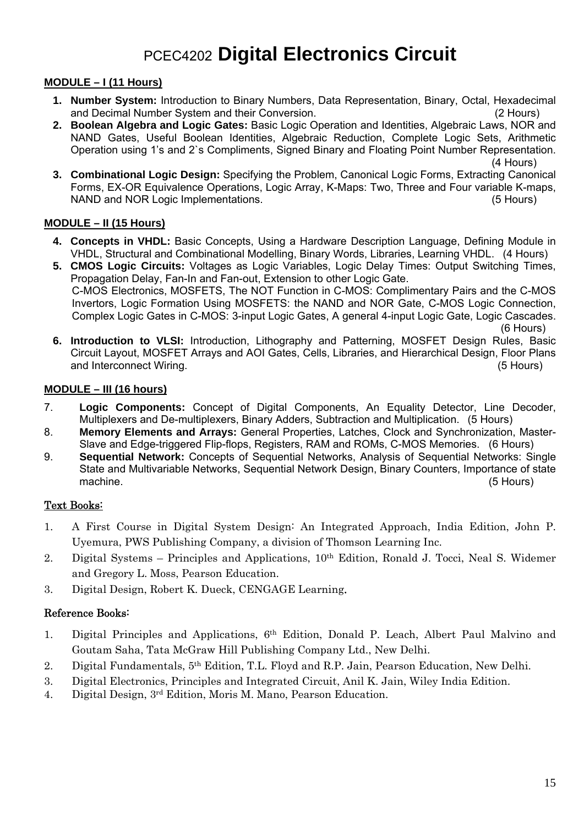# PCEC4202 **Digital Electronics Circuit**

### **MODULE – I (11 Hours)**

- **1. Number System:** Introduction to Binary Numbers, Data Representation, Binary, Octal, Hexadecimal and Decimal Number System and their Conversion. (2 Hours)
- **2. Boolean Algebra and Logic Gates:** Basic Logic Operation and Identities, Algebraic Laws, NOR and NAND Gates, Useful Boolean Identities, Algebraic Reduction, Complete Logic Sets, Arithmetic Operation using 1's and 2`s Compliments, Signed Binary and Floating Point Number Representation. (4 Hours)
- **3. Combinational Logic Design:** Specifying the Problem, Canonical Logic Forms, Extracting Canonical Forms, EX-OR Equivalence Operations, Logic Array, K-Maps: Two, Three and Four variable K-maps, NAND and NOR Logic Implementations. (5 Hours)

### **MODULE – II (15 Hours)**

- **4. Concepts in VHDL:** Basic Concepts, Using a Hardware Description Language, Defining Module in VHDL, Structural and Combinational Modelling, Binary Words, Libraries, Learning VHDL. (4 Hours)
- **5. CMOS Logic Circuits:** Voltages as Logic Variables, Logic Delay Times: Output Switching Times, Propagation Delay, Fan-In and Fan-out, Extension to other Logic Gate. C-MOS Electronics, MOSFETS, The NOT Function in C-MOS: Complimentary Pairs and the C-MOS Invertors, Logic Formation Using MOSFETS: the NAND and NOR Gate, C-MOS Logic Connection, Complex Logic Gates in C-MOS: 3-input Logic Gates, A general 4-input Logic Gate, Logic Cascades.

 (6 Hours) **6. Introduction to VLSI:** Introduction, Lithography and Patterning, MOSFET Design Rules, Basic Circuit Layout, MOSFET Arrays and AOI Gates, Cells, Libraries, and Hierarchical Design, Floor Plans and Interconnect Wiring. (5 Hours)

### **MODULE – III (16 hours)**

- 7. **Logic Components:** Concept of Digital Components, An Equality Detector, Line Decoder, Multiplexers and De-multiplexers, Binary Adders, Subtraction and Multiplication. (5 Hours)
- 8. **Memory Elements and Arrays:** General Properties, Latches, Clock and Synchronization, Master-Slave and Edge-triggered Flip-flops, Registers, RAM and ROMs, C-MOS Memories. (6 Hours)
- 9. **Sequential Network:** Concepts of Sequential Networks, Analysis of Sequential Networks: Single State and Multivariable Networks, Sequential Network Design, Binary Counters, Importance of state machine. (5 Hours)

### Text Books:

- 1. A First Course in Digital System Design: An Integrated Approach, India Edition, John P. Uyemura, PWS Publishing Company, a division of Thomson Learning Inc.
- 2. Digital Systems Principles and Applications, 10th Edition, Ronald J. Tocci, Neal S. Widemer and Gregory L. Moss, Pearson Education.
- 3. Digital Design, Robert K. Dueck, CENGAGE Learning.

- 1. Digital Principles and Applications, 6th Edition, Donald P. Leach, Albert Paul Malvino and Goutam Saha, Tata McGraw Hill Publishing Company Ltd., New Delhi.
- 2. Digital Fundamentals, 5th Edition, T.L. Floyd and R.P. Jain, Pearson Education, New Delhi.
- 3. Digital Electronics, Principles and Integrated Circuit, Anil K. Jain, Wiley India Edition.
- 4. Digital Design, 3rd Edition, Moris M. Mano, Pearson Education.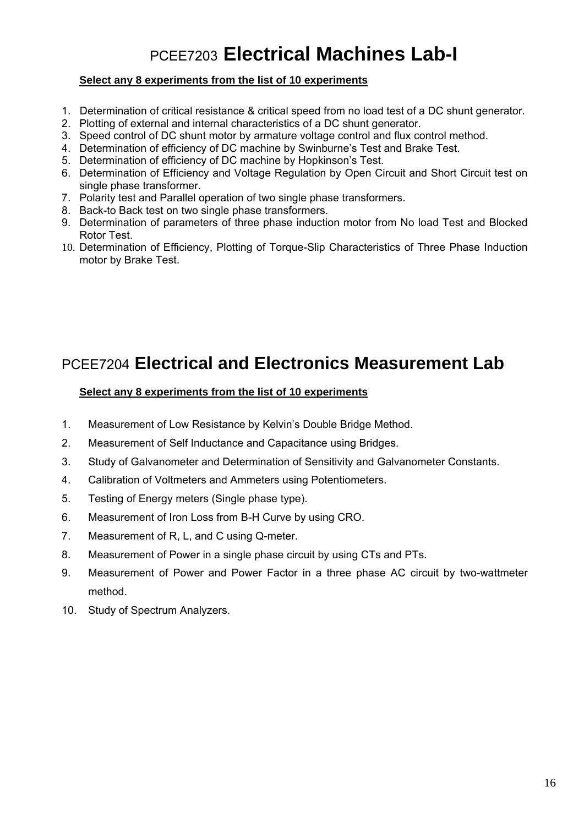# PCEE7203 **Electrical Machines Lab-I**

### **Select any 8 experiments from the list of 10 experiments**

- 1. Determination of critical resistance & critical speed from no load test of a DC shunt generator.
- 2. Plotting of external and internal characteristics of a DC shunt generator.
- 3. Speed control of DC shunt motor by armature voltage control and flux control method.
- 4. Determination of efficiency of DC machine by Swinburne's Test and Brake Test.
- 5. Determination of efficiency of DC machine by Hopkinson's Test.
- 6. Determination of Efficiency and Voltage Regulation by Open Circuit and Short Circuit test on single phase transformer.
- 7. Polarity test and Parallel operation of two single phase transformers.
- 8. Back-to Back test on two single phase transformers.
- 9. Determination of parameters of three phase induction motor from No load Test and Blocked Rotor Test.
- 10. Determination of Efficiency, Plotting of Torque-Slip Characteristics of Three Phase Induction motor by Brake Test.

## PCEE7204 **Electrical and Electronics Measurement Lab**

### **Select any 8 experiments from the list of 10 experiments**

- 1. Measurement of Low Resistance by Kelvin's Double Bridge Method.
- 2. Measurement of Self Inductance and Capacitance using Bridges.
- 3. Study of Galvanometer and Determination of Sensitivity and Galvanometer Constants.
- 4. Calibration of Voltmeters and Ammeters using Potentiometers.
- 5. Testing of Energy meters (Single phase type).
- 6. Measurement of Iron Loss from B-H Curve by using CRO.
- 7. Measurement of R, L, and C using Q-meter.
- 8. Measurement of Power in a single phase circuit by using CTs and PTs.
- 9. Measurement of Power and Power Factor in a three phase AC circuit by two-wattmeter method.
- 10. Study of Spectrum Analyzers.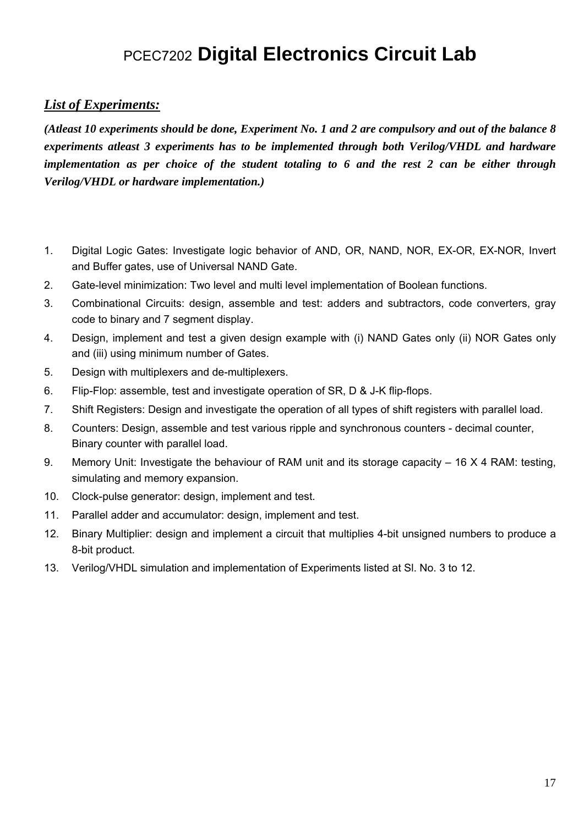# PCEC7202 **Digital Electronics Circuit Lab**

## *List of Experiments:*

*(Atleast 10 experiments should be done, Experiment No. 1 and 2 are compulsory and out of the balance 8 experiments atleast 3 experiments has to be implemented through both Verilog/VHDL and hardware implementation as per choice of the student totaling to 6 and the rest 2 can be either through Verilog/VHDL or hardware implementation.)* 

- 1. Digital Logic Gates: Investigate logic behavior of AND, OR, NAND, NOR, EX-OR, EX-NOR, Invert and Buffer gates, use of Universal NAND Gate.
- 2. Gate-level minimization: Two level and multi level implementation of Boolean functions.
- 3. Combinational Circuits: design, assemble and test: adders and subtractors, code converters, gray code to binary and 7 segment display.
- 4. Design, implement and test a given design example with (i) NAND Gates only (ii) NOR Gates only and (iii) using minimum number of Gates.
- 5. Design with multiplexers and de-multiplexers.
- 6. Flip-Flop: assemble, test and investigate operation of SR, D & J-K flip-flops.
- 7. Shift Registers: Design and investigate the operation of all types of shift registers with parallel load.
- 8. Counters: Design, assemble and test various ripple and synchronous counters decimal counter, Binary counter with parallel load.
- 9. Memory Unit: Investigate the behaviour of RAM unit and its storage capacity 16 X 4 RAM: testing, simulating and memory expansion.
- 10. Clock-pulse generator: design, implement and test.
- 11. Parallel adder and accumulator: design, implement and test.
- 12. Binary Multiplier: design and implement a circuit that multiplies 4-bit unsigned numbers to produce a 8-bit product.
- 13. Verilog/VHDL simulation and implementation of Experiments listed at Sl. No. 3 to 12.